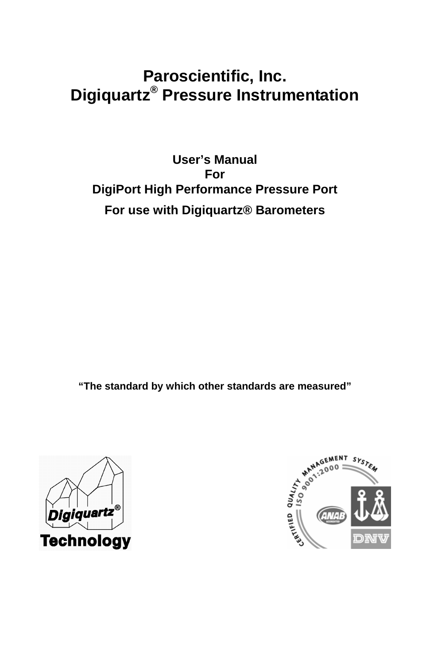# **Paroscientific, Inc. Digiquartz® Pressure Instrumentation**

**User's Manual For DigiPort High Performance Pressure Port For use with Digiquartz® Barometers** 

**"The standard by which other standards are measured"**



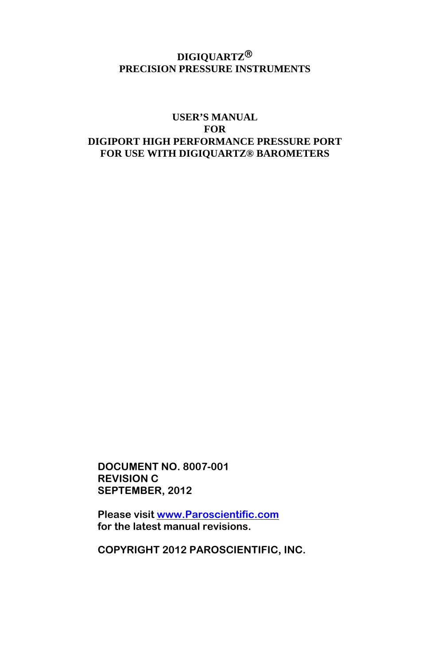#### **DIGIQUARTZ**® **PRECISION PRESSURE INSTRUMENTS**

#### **USER'S MANUAL FOR DIGIPORT HIGH PERFORMANCE PRESSURE PORT FOR USE WITH DIGIQUARTZ® BAROMETERS**

**DOCUMENT NO. 8007-001 REVISION C SEPTEMBER, 2012** 

**Please visit www.Paroscientific.com for the latest manual revisions.** 

**COPYRIGHT 2012 PAROSCIENTIFIC, INC.**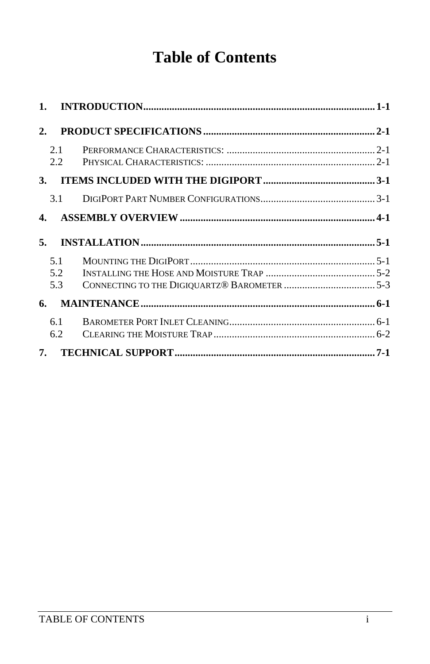# **Table of Contents**

| 2.         |  |
|------------|--|
| 2.1<br>2.2 |  |
| 3.         |  |
| 3.1        |  |
| 4.         |  |
| 5.         |  |
|            |  |
| 5.1        |  |
| 5.2        |  |
| 5.3        |  |
| 6.         |  |
| 6.1        |  |
| 6.2        |  |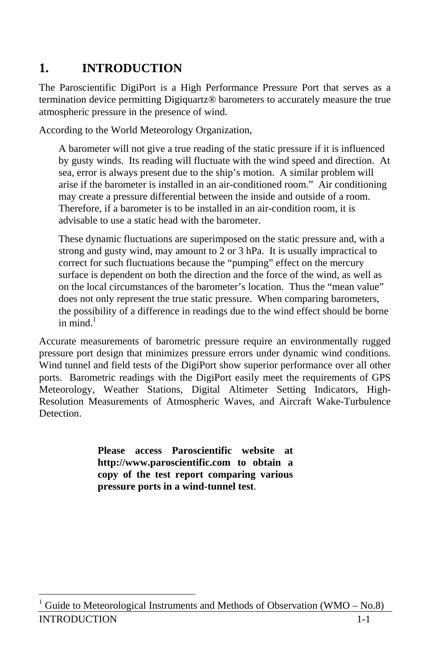# **1. INTRODUCTION**

The Paroscientific DigiPort is a High Performance Pressure Port that serves as a termination device permitting Digiquartz® barometers to accurately measure the true atmospheric pressure in the presence of wind.

According to the World Meteorology Organization,

A barometer will not give a true reading of the static pressure if it is influenced by gusty winds. Its reading will fluctuate with the wind speed and direction. At sea, error is always present due to the ship's motion. A similar problem will arise if the barometer is installed in an air-conditioned room." Air conditioning may create a pressure differential between the inside and outside of a room. Therefore, if a barometer is to be installed in an air-condition room, it is advisable to use a static head with the barometer.

These dynamic fluctuations are superimposed on the static pressure and, with a strong and gusty wind, may amount to 2 or 3 hPa. It is usually impractical to correct for such fluctuations because the "pumping" effect on the mercury surface is dependent on both the direction and the force of the wind, as well as on the local circumstances of the barometer's location. Thus the "mean value" does not only represent the true static pressure. When comparing barometers, the possibility of a difference in readings due to the wind effect should be borne in mind. $<sup>1</sup>$ </sup>

Accurate measurements of barometric pressure require an environmentally rugged pressure port design that minimizes pressure errors under dynamic wind conditions. Wind tunnel and field tests of the DigiPort show superior performance over all other ports. Barometric readings with the DigiPort easily meet the requirements of GPS Meteorology, Weather Stations, Digital Altimeter Setting Indicators, High-Resolution Measurements of Atmospheric Waves, and Aircraft Wake-Turbulence Detection.

> **Please access Paroscientific website at http://www.paroscientific.com to obtain a copy of the test report comparing various pressure ports in a wind-tunnel test**.

**INTRODUCTION** l 1 Guide to Meteorological Instruments and Methods of Observation (WMO – No.8)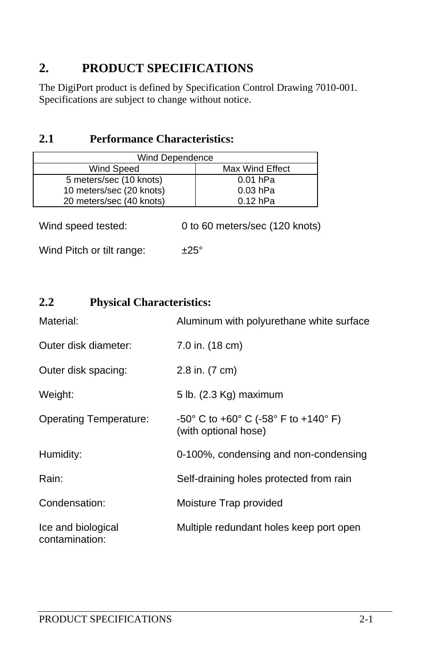## **2. PRODUCT SPECIFICATIONS**

The DigiPort product is defined by Specification Control Drawing 7010-001. Specifications are subject to change without notice.

#### **2.1 Performance Characteristics:**

| Wind Dependence          |                 |  |  |
|--------------------------|-----------------|--|--|
| Wind Speed               | Max Wind Effect |  |  |
| 5 meters/sec (10 knots)  | $0.01$ hPa      |  |  |
| 10 meters/sec (20 knots) | $0.03$ hPa      |  |  |
| 20 meters/sec (40 knots) | $0.12$ hPa      |  |  |

| Wind speed tested: | 0 to 60 meters/sec (120 knots) |
|--------------------|--------------------------------|
|--------------------|--------------------------------|

Wind Pitch or tilt range:  $\pm 25^\circ$ 

### **2.2 Physical Characteristics:**

| Material:                            | Aluminum with polyurethane white surface                                                          |
|--------------------------------------|---------------------------------------------------------------------------------------------------|
| Outer disk diameter:                 | 7.0 in. (18 cm)                                                                                   |
| Outer disk spacing:                  | 2.8 in. (7 cm)                                                                                    |
| Weight:                              | 5 lb. (2.3 Kg) maximum                                                                            |
| <b>Operating Temperature:</b>        | $-50^{\circ}$ C to $+60^{\circ}$ C ( $-58^{\circ}$ F to $+140^{\circ}$ F)<br>(with optional hose) |
| Humidity:                            | 0-100%, condensing and non-condensing                                                             |
| Rain:                                | Self-draining holes protected from rain                                                           |
| Condensation:                        | Moisture Trap provided                                                                            |
| Ice and biological<br>contamination: | Multiple redundant holes keep port open                                                           |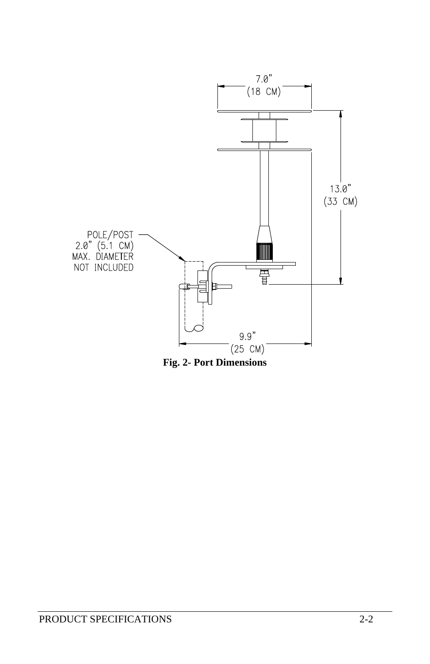

**Fig. 2- Port Dimensions**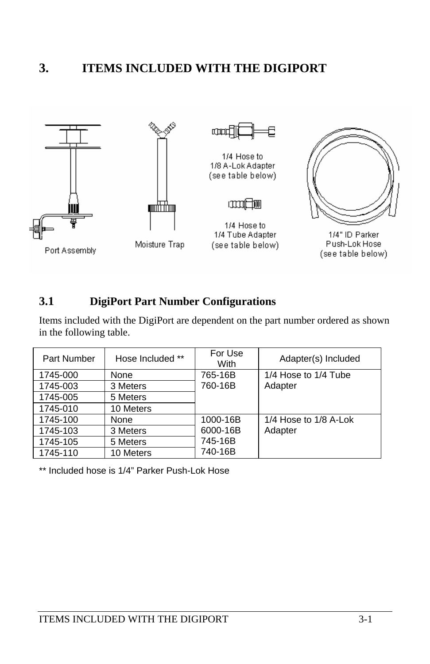### **3. ITEMS INCLUDED WITH THE DIGIPORT**



#### **3.1 DigiPort Part Number Configurations**

Items included with the DigiPort are dependent on the part number ordered as shown in the following table.

| Part Number | Hose Included ** | For Use<br>With | Adapter(s) Included   |
|-------------|------------------|-----------------|-----------------------|
| 1745-000    | None             | 765-16B         | 1/4 Hose to 1/4 Tube  |
| 1745-003    | 3 Meters         | 760-16B         | Adapter               |
| 1745-005    | 5 Meters         |                 |                       |
| 1745-010    | 10 Meters        |                 |                       |
| 1745-100    | None             | 1000-16B        | 1/4 Hose to 1/8 A-Lok |
| 1745-103    | 3 Meters         | 6000-16B        | Adapter               |
| 1745-105    | 5 Meters         | 745-16B         |                       |
| 1745-110    | 10 Meters        | 740-16B         |                       |

\*\* Included hose is 1/4" Parker Push-Lok Hose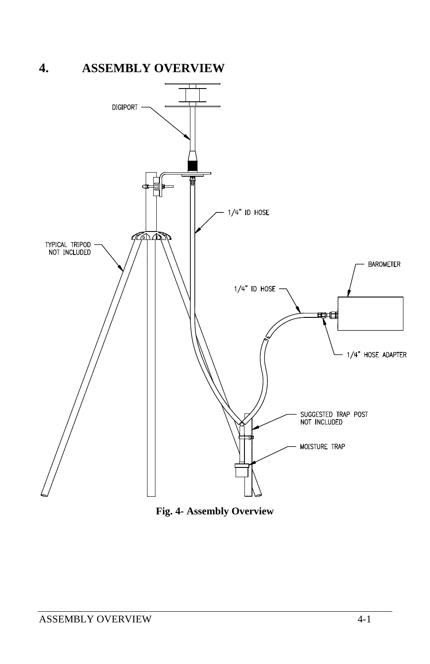# **4. ASSEMBLY OVERVIEW**



**Fig. 4- Assembly Overview**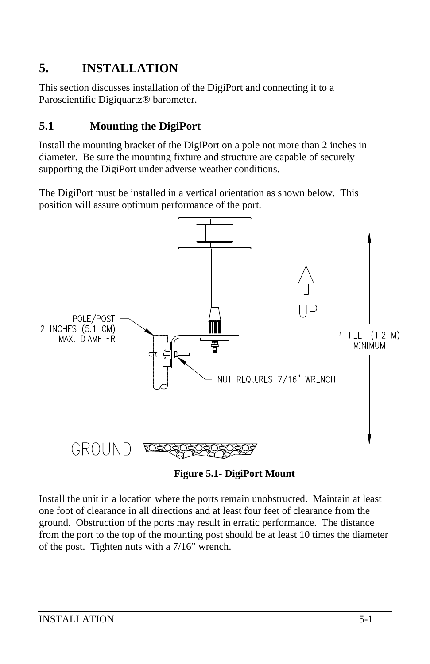# **5. INSTALLATION**

This section discusses installation of the DigiPort and connecting it to a Paroscientific Digiquartz® barometer.

## **5.1 Mounting the DigiPort**

Install the mounting bracket of the DigiPort on a pole not more than 2 inches in diameter. Be sure the mounting fixture and structure are capable of securely supporting the DigiPort under adverse weather conditions.

The DigiPort must be installed in a vertical orientation as shown below. This position will assure optimum performance of the port.



**Figure 5.1- DigiPort Mount** 

Install the unit in a location where the ports remain unobstructed. Maintain at least one foot of clearance in all directions and at least four feet of clearance from the ground. Obstruction of the ports may result in erratic performance. The distance from the port to the top of the mounting post should be at least 10 times the diameter of the post. Tighten nuts with a 7/16" wrench.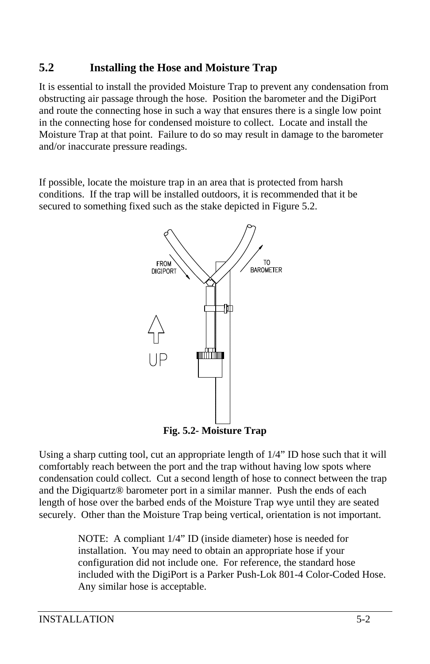### **5.2 Installing the Hose and Moisture Trap**

It is essential to install the provided Moisture Trap to prevent any condensation from obstructing air passage through the hose. Position the barometer and the DigiPort and route the connecting hose in such a way that ensures there is a single low point in the connecting hose for condensed moisture to collect. Locate and install the Moisture Trap at that point. Failure to do so may result in damage to the barometer and/or inaccurate pressure readings.

If possible, locate the moisture trap in an area that is protected from harsh conditions. If the trap will be installed outdoors, it is recommended that it be secured to something fixed such as the stake depicted in Figure 5.2.



**Fig. 5.2- Moisture Trap** 

Using a sharp cutting tool, cut an appropriate length of 1/4" ID hose such that it will comfortably reach between the port and the trap without having low spots where condensation could collect. Cut a second length of hose to connect between the trap and the Digiquartz® barometer port in a similar manner. Push the ends of each length of hose over the barbed ends of the Moisture Trap wye until they are seated securely. Other than the Moisture Trap being vertical, orientation is not important.

> NOTE: A compliant 1/4" ID (inside diameter) hose is needed for installation. You may need to obtain an appropriate hose if your configuration did not include one. For reference, the standard hose included with the DigiPort is a Parker Push-Lok 801-4 Color-Coded Hose. Any similar hose is acceptable.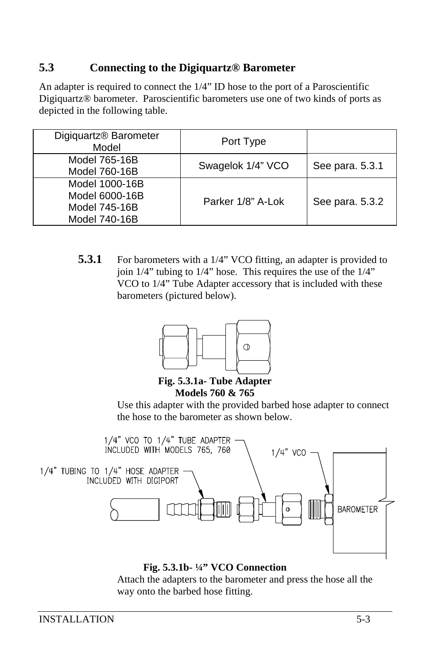### **5.3 Connecting to the Digiquartz® Barometer**

An adapter is required to connect the 1/4" ID hose to the port of a Paroscientific Digiquartz® barometer. Paroscientific barometers use one of two kinds of ports as depicted in the following table.

| Digiquartz® Barometer<br>Model                                     | Port Type         |                 |
|--------------------------------------------------------------------|-------------------|-----------------|
| Model 765-16B<br>Model 760-16B                                     | Swagelok 1/4" VCO | See para. 5.3.1 |
| Model 1000-16B<br>Model 6000-16B<br>Model 745-16B<br>Model 740-16B | Parker 1/8" A-Lok | See para. 5.3.2 |

**5.3.1** For barometers with a 1/4" VCO fitting, an adapter is provided to join 1/4" tubing to 1/4" hose. This requires the use of the 1/4" VCO to 1/4" Tube Adapter accessory that is included with these barometers (pictured below).



**Fig. 5.3.1a- Tube Adapter Models 760 & 765** 

Use this adapter with the provided barbed hose adapter to connect the hose to the barometer as shown below.



**Fig. 5.3.1b- ¼" VCO Connection**

Attach the adapters to the barometer and press the hose all the way onto the barbed hose fitting.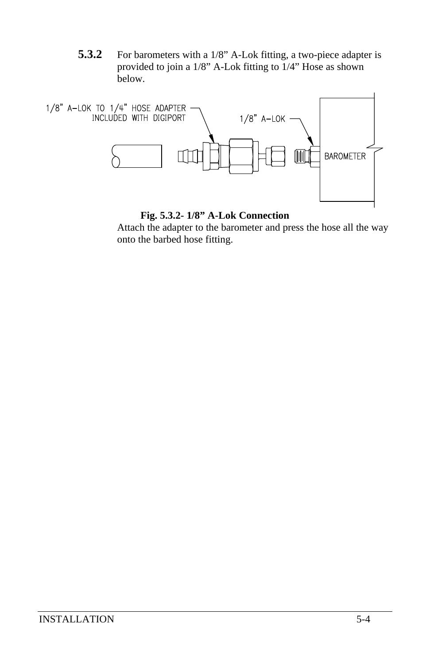**5.3.2** For barometers with a 1/8" A-Lok fitting, a two-piece adapter is provided to join a 1/8" A-Lok fitting to 1/4" Hose as shown below.



#### **Fig. 5.3.2- 1/8" A-Lok Connection**

Attach the adapter to the barometer and press the hose all the way onto the barbed hose fitting.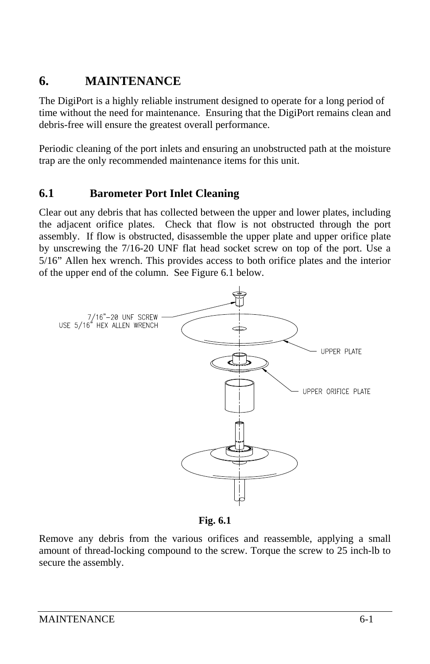## **6. MAINTENANCE**

The DigiPort is a highly reliable instrument designed to operate for a long period of time without the need for maintenance. Ensuring that the DigiPort remains clean and debris-free will ensure the greatest overall performance.

Periodic cleaning of the port inlets and ensuring an unobstructed path at the moisture trap are the only recommended maintenance items for this unit.

### **6.1 Barometer Port Inlet Cleaning**

Clear out any debris that has collected between the upper and lower plates, including the adjacent orifice plates. Check that flow is not obstructed through the port assembly. If flow is obstructed, disassemble the upper plate and upper orifice plate by unscrewing the 7/16-20 UNF flat head socket screw on top of the port. Use a 5/16" Allen hex wrench. This provides access to both orifice plates and the interior of the upper end of the column. See Figure 6.1 below.



**Fig. 6.1** 

Remove any debris from the various orifices and reassemble, applying a small amount of thread-locking compound to the screw. Torque the screw to 25 inch-lb to secure the assembly.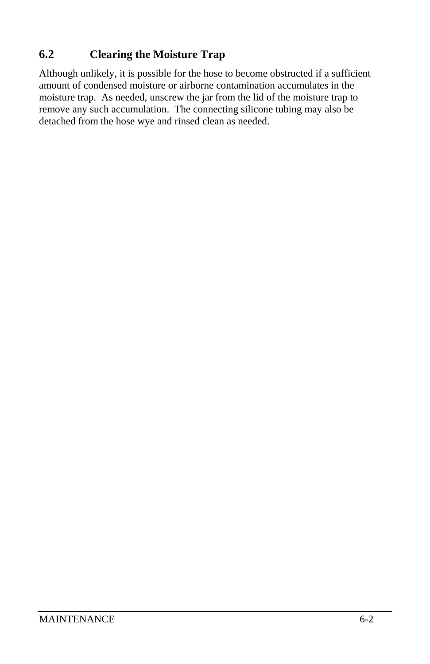### **6.2 Clearing the Moisture Trap**

Although unlikely, it is possible for the hose to become obstructed if a sufficient amount of condensed moisture or airborne contamination accumulates in the moisture trap. As needed, unscrew the jar from the lid of the moisture trap to remove any such accumulation. The connecting silicone tubing may also be detached from the hose wye and rinsed clean as needed.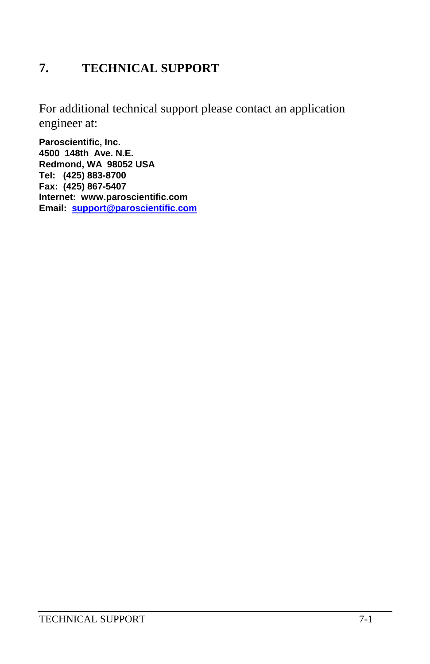# **7. TECHNICAL SUPPORT**

For additional technical support please contact an application engineer at:

**Paroscientific, Inc. 4500 148th Ave. N.E. Redmond, WA 98052 USA Tel: (425) 883-8700 Fax: (425) 867-5407 Internet: www.paroscientific.com Email: support@paroscientific.com**